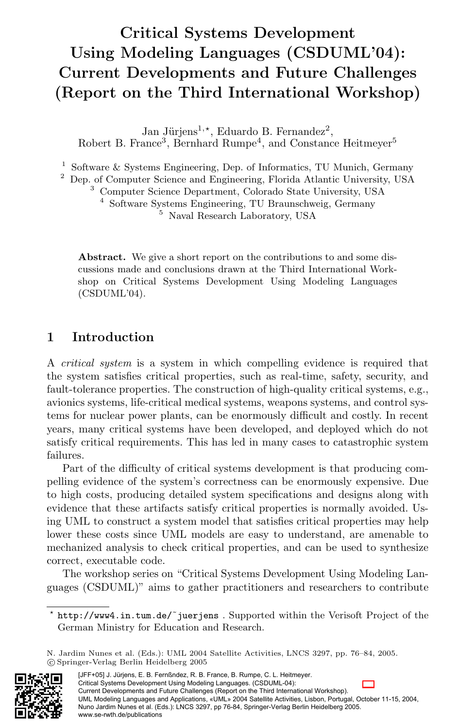# **Critical Systems Development Using Modeling Languages (CSDUML'04): Current Developments and Future Challenges (Report on the Third International Workshop)**

Jan Jürjens<sup>1,\*</sup>, Eduardo B. Fernandez<sup>2</sup>, Robert B. France<sup>3</sup>, Bernhard Rumpe<sup>4</sup>, and Constance Heitmeyer<sup>5</sup>

<sup>1</sup> Software & Systems Engineering, Dep. of Informatics, TU Munich, Germany

<sup>2</sup> Dep. of Computer Science and Engineering, Florida Atlantic University, USA

<sup>3</sup> Computer Science Department, Colorado State University, USA

<sup>4</sup> Software Systems Engineering, TU Braunschweig, Germany <sup>5</sup> Naval Research Laboratory, USA

**Abstract.** We give a short report on the contributions to and some discussions made and conclusions drawn at the Third International Workshop on Critical Systems Development Using Modeling Languages (CSDUML'04).

# **1 Introduction**

A *critical system* is a system in which compelling evidence is required that the system satisfies critical properties, such as real-time, safety, security, and fault-tolerance properties. The construction of high-quality critical systems, e.g., avionics systems, life-critical medical systems, weapons systems, and control systems for nuclear power plants, can be enormously difficult and costly. In recent years, many critical systems have been developed, and deployed which do not satisfy critical requirements. This has led in many cases to catastrophic system failures.

Part of the difficulty of critical systems development is that producing compelling evidence of the system's correctness can be enormously expensive. Due to high costs, producing detailed system specifications and designs along with evidence that these artifacts satisfy critical properties is normally avoided. Using UML to construct a system model that satisfies critical properties may help lower these costs since UML models are easy to understand, are amenable to mechanized analysis to check critical properties, and can be used to synthesize correct, executable code.

The workshop series on "Critical Systems Development Using Modeling Languages (CSDUML)" aims to gather practitioners and researchers to contribute

N. Jardim Nunes et al. (Eds.): UML 2004 Satellite Activities, LNCS 3297, pp. 76–84, 2005. c Springer-Verlag Berlin Heidelberg 2005



http://www4.in.tum.de/˜juerjens . Supported within the Verisoft Project of the German Ministry for Education and Research.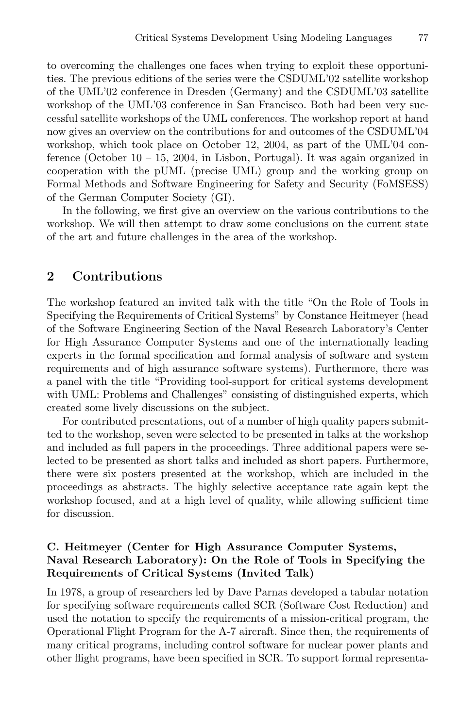to overcoming the challenges one faces when trying to exploit these opportunities. The previous editions of the series were the CSDUML'02 satellite workshop of the UML'02 conference in Dresden (Germany) and the CSDUML'03 satellite workshop of the UML'03 conference in San Francisco. Both had been very successful satellite workshops of the UML conferences. The workshop report at hand now gives an overview on the contributions for and outcomes of the CSDUML'04 workshop, which took place on October 12, 2004, as part of the UML'04 conference (October 10 – 15, 2004, in Lisbon, Portugal). It was again organized in cooperation with the pUML (precise UML) group and the working group on Formal Methods and Software Engineering for Safety and Security (FoMSESS) of the German Computer Society (GI).

In the following, we first give an overview on the various contributions to the workshop. We will then attempt to draw some conclusions on the current state of the art and future challenges in the area of the workshop.

#### **2 Contributions**

The workshop featured an invited talk with the title "On the Role of Tools in Specifying the Requirements of Critical Systems" by Constance Heitmeyer (head of the Software Engineering Section of the Naval Research Laboratory's Center for High Assurance Computer Systems and one of the internationally leading experts in the formal specification and formal analysis of software and system requirements and of high assurance software systems). Furthermore, there was a panel with the title "Providing tool-support for critical systems development with UML: Problems and Challenges" consisting of distinguished experts, which created some lively discussions on the subject.

For contributed presentations, out of a number of high quality papers submitted to the workshop, seven were selected to be presented in talks at the workshop and included as full papers in the proceedings. Three additional papers were selected to be presented as short talks and included as short papers. Furthermore, there were six posters presented at the workshop, which are included in the proceedings as abstracts. The highly selective acceptance rate again kept the workshop focused, and at a high level of quality, while allowing sufficient time for discussion.

#### **C. Heitmeyer (Center for High Assurance Computer Systems, Naval Research Laboratory): On the Role of Tools in Specifying the Requirements of Critical Systems (Invited Talk)**

In 1978, a group of researchers led by Dave Parnas developed a tabular notation for specifying software requirements called SCR (Software Cost Reduction) and used the notation to specify the requirements of a mission-critical program, the Operational Flight Program for the A-7 aircraft. Since then, the requirements of many critical programs, including control software for nuclear power plants and other flight programs, have been specified in SCR. To support formal representa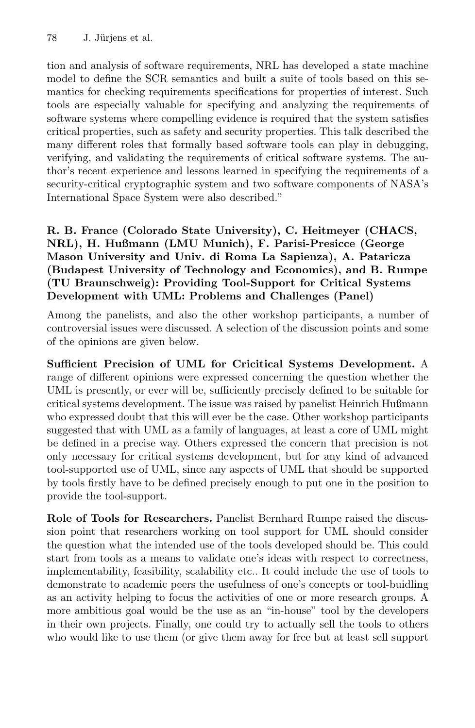tion and analysis of software requirements, NRL has developed a state machine model to define the SCR semantics and built a suite of tools based on this semantics for checking requirements specifications for properties of interest. Such tools are especially valuable for specifying and analyzing the requirements of software systems where compelling evidence is required that the system satisfies critical properties, such as safety and security properties. This talk described the many different roles that formally based software tools can play in debugging, verifying, and validating the requirements of critical software systems. The author's recent experience and lessons learned in specifying the requirements of a security-critical cryptographic system and two software components of NASA's International Space System were also described."

#### **R. B. France (Colorado State University), C. Heitmeyer (CHACS, NRL), H. Hußmann (LMU Munich), F. Parisi-Presicce (George Mason University and Univ. di Roma La Sapienza), A. Pataricza (Budapest University of Technology and Economics), and B. Rumpe (TU Braunschweig): Providing Tool-Support for Critical Systems Development with UML: Problems and Challenges (Panel)**

Among the panelists, and also the other workshop participants, a number of controversial issues were discussed. A selection of the discussion points and some of the opinions are given below.

**Sufficient Precision of UML for Cricitical Systems Development.** A range of different opinions were expressed concerning the question whether the UML is presently, or ever will be, sufficiently precisely defined to be suitable for critical systems development. The issue was raised by panelist Heinrich Hußmann who expressed doubt that this will ever be the case. Other workshop participants suggested that with UML as a family of languages, at least a core of UML might be defined in a precise way. Others expressed the concern that precision is not only necessary for critical systems development, but for any kind of advanced tool-supported use of UML, since any aspects of UML that should be supported by tools firstly have to be defined precisely enough to put one in the position to provide the tool-support.

**Role of Tools for Researchers.** Panelist Bernhard Rumpe raised the discussion point that researchers working on tool support for UML should consider the question what the intended use of the tools developed should be. This could start from tools as a means to validate one's ideas with respect to correctness, implementability, feasibility, scalability etc.. It could include the use of tools to demonstrate to academic peers the usefulness of one's concepts or tool-buidling as an activity helping to focus the activities of one or more research groups. A more ambitious goal would be the use as an "in-house" tool by the developers in their own projects. Finally, one could try to actually sell the tools to others who would like to use them (or give them away for free but at least sell support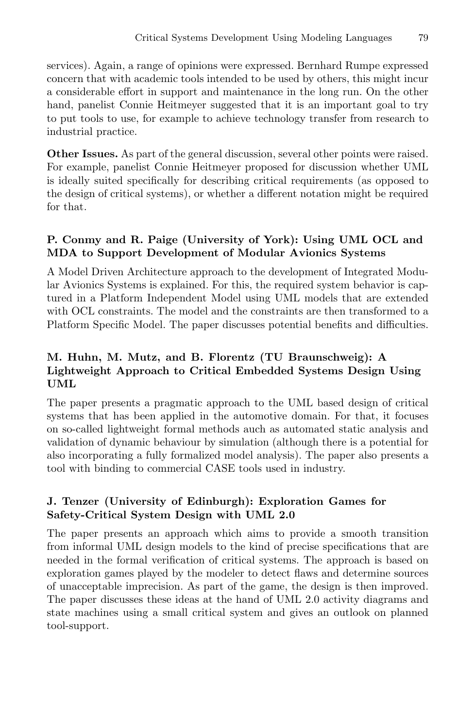services). Again, a range of opinions were expressed. Bernhard Rumpe expressed concern that with academic tools intended to be used by others, this might incur a considerable effort in support and maintenance in the long run. On the other hand, panelist Connie Heitmeyer suggested that it is an important goal to try to put tools to use, for example to achieve technology transfer from research to industrial practice.

**Other Issues.** As part of the general discussion, several other points were raised. For example, panelist Connie Heitmeyer proposed for discussion whether UML is ideally suited specifically for describing critical requirements (as opposed to the design of critical systems), or whether a different notation might be required for that.

#### **P. Conmy and R. Paige (University of York): Using UML OCL and MDA to Support Development of Modular Avionics Systems**

A Model Driven Architecture approach to the development of Integrated Modular Avionics Systems is explained. For this, the required system behavior is captured in a Platform Independent Model using UML models that are extended with OCL constraints. The model and the constraints are then transformed to a Platform Specific Model. The paper discusses potential benefits and difficulties.

### **M. Huhn, M. Mutz, and B. Florentz (TU Braunschweig): A Lightweight Approach to Critical Embedded Systems Design Using UML**

The paper presents a pragmatic approach to the UML based design of critical systems that has been applied in the automotive domain. For that, it focuses on so-called lightweight formal methods auch as automated static analysis and validation of dynamic behaviour by simulation (although there is a potential for also incorporating a fully formalized model analysis). The paper also presents a tool with binding to commercial CASE tools used in industry.

#### **J. Tenzer (University of Edinburgh): Exploration Games for Safety-Critical System Design with UML 2.0**

The paper presents an approach which aims to provide a smooth transition from informal UML design models to the kind of precise specifications that are needed in the formal verification of critical systems. The approach is based on exploration games played by the modeler to detect flaws and determine sources of unacceptable imprecision. As part of the game, the design is then improved. The paper discusses these ideas at the hand of UML 2.0 activity diagrams and state machines using a small critical system and gives an outlook on planned tool-support.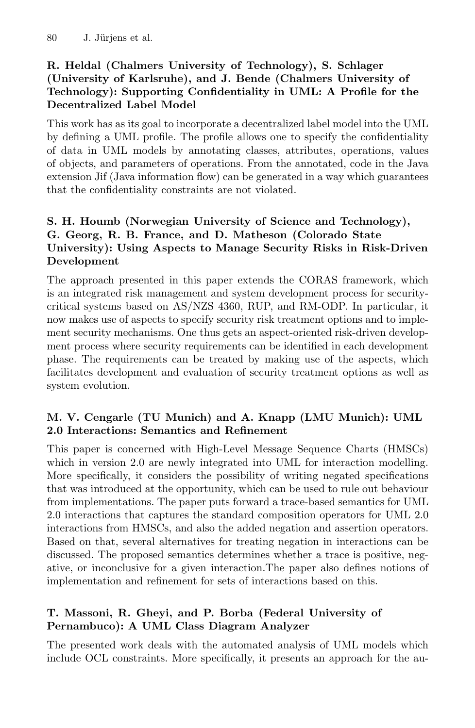#### **R. Heldal (Chalmers University of Technology), S. Schlager (University of Karlsruhe), and J. Bende (Chalmers University of Technology): Supporting Confidentiality in UML: A Profile for the Decentralized Label Model**

This work has as its goal to incorporate a decentralized label model into the UML by defining a UML profile. The profile allows one to specify the confidentiality of data in UML models by annotating classes, attributes, operations, values of objects, and parameters of operations. From the annotated, code in the Java extension Jif (Java information flow) can be generated in a way which guarantees that the confidentiality constraints are not violated.

# **S. H. Houmb (Norwegian University of Science and Technology), G. Georg, R. B. France, and D. Matheson (Colorado State University): Using Aspects to Manage Security Risks in Risk-Driven Development**

The approach presented in this paper extends the CORAS framework, which is an integrated risk management and system development process for securitycritical systems based on AS/NZS 4360, RUP, and RM-ODP. In particular, it now makes use of aspects to specify security risk treatment options and to implement security mechanisms. One thus gets an aspect-oriented risk-driven development process where security requirements can be identified in each development phase. The requirements can be treated by making use of the aspects, which facilitates development and evaluation of security treatment options as well as system evolution.

# **M. V. Cengarle (TU Munich) and A. Knapp (LMU Munich): UML 2.0 Interactions: Semantics and Refinement**

This paper is concerned with High-Level Message Sequence Charts (HMSCs) which in version 2.0 are newly integrated into UML for interaction modelling. More specifically, it considers the possibility of writing negated specifications that was introduced at the opportunity, which can be used to rule out behaviour from implementations. The paper puts forward a trace-based semantics for UML 2.0 interactions that captures the standard composition operators for UML 2.0 interactions from HMSCs, and also the added negation and assertion operators. Based on that, several alternatives for treating negation in interactions can be discussed. The proposed semantics determines whether a trace is positive, negative, or inconclusive for a given interaction.The paper also defines notions of implementation and refinement for sets of interactions based on this.

# **T. Massoni, R. Gheyi, and P. Borba (Federal University of Pernambuco): A UML Class Diagram Analyzer**

The presented work deals with the automated analysis of UML models which include OCL constraints. More specifically, it presents an approach for the au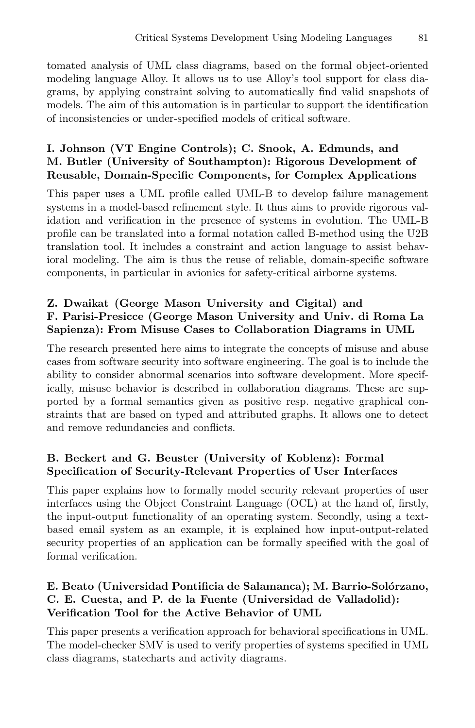tomated analysis of UML class diagrams, based on the formal object-oriented modeling language Alloy. It allows us to use Alloy's tool support for class diagrams, by applying constraint solving to automatically find valid snapshots of models. The aim of this automation is in particular to support the identification of inconsistencies or under-specified models of critical software.

#### **I. Johnson (VT Engine Controls); C. Snook, A. Edmunds, and M. Butler (University of Southampton): Rigorous Development of Reusable, Domain-Specific Components, for Complex Applications**

This paper uses a UML profile called UML-B to develop failure management systems in a model-based refinement style. It thus aims to provide rigorous validation and verification in the presence of systems in evolution. The UML-B profile can be translated into a formal notation called B-method using the U2B translation tool. It includes a constraint and action language to assist behavioral modeling. The aim is thus the reuse of reliable, domain-specific software components, in particular in avionics for safety-critical airborne systems.

#### **Z. Dwaikat (George Mason University and Cigital) and F. Parisi-Presicce (George Mason University and Univ. di Roma La Sapienza): From Misuse Cases to Collaboration Diagrams in UML**

The research presented here aims to integrate the concepts of misuse and abuse cases from software security into software engineering. The goal is to include the ability to consider abnormal scenarios into software development. More specifically, misuse behavior is described in collaboration diagrams. These are supported by a formal semantics given as positive resp. negative graphical constraints that are based on typed and attributed graphs. It allows one to detect and remove redundancies and conflicts.

# **B. Beckert and G. Beuster (University of Koblenz): Formal Specification of Security-Relevant Properties of User Interfaces**

This paper explains how to formally model security relevant properties of user interfaces using the Object Constraint Language (OCL) at the hand of, firstly, the input-output functionality of an operating system. Secondly, using a textbased email system as an example, it is explained how input-output-related security properties of an application can be formally specified with the goal of formal verification.

#### **E. Beato (Universidad Pontificia de Salamanca); M. Barrio-Solórzano, C. E. Cuesta, and P. de la Fuente (Universidad de Valladolid): Verification Tool for the Active Behavior of UML**

This paper presents a verification approach for behavioral specifications in UML. The model-checker SMV is used to verify properties of systems specified in UML class diagrams, statecharts and activity diagrams.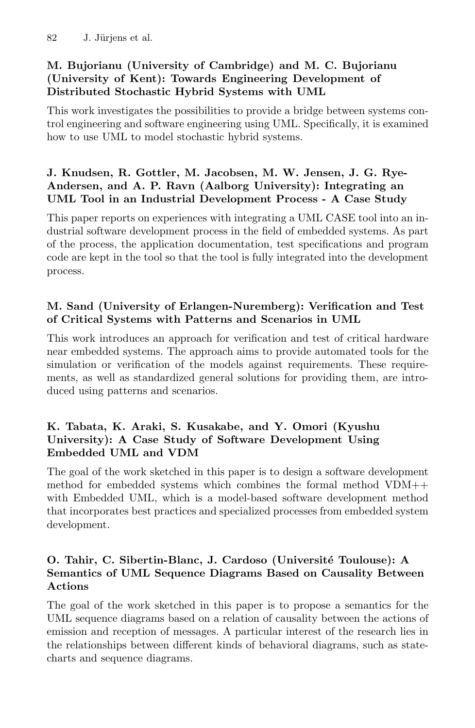### **M. Bujorianu (University of Cambridge) and M. C. Bujorianu (University of Kent): Towards Engineering Development of Distributed Stochastic Hybrid Systems with UML**

This work investigates the possibilities to provide a bridge between systems control engineering and software engineering using UML. Specifically, it is examined how to use UML to model stochastic hybrid systems.

# **J. Knudsen, R. Gottler, M. Jacobsen, M. W. Jensen, J. G. Rye-Andersen, and A. P. Ravn (Aalborg University): Integrating an UML Tool in an Industrial Development Process - A Case Study**

This paper reports on experiences with integrating a UML CASE tool into an industrial software development process in the field of embedded systems. As part of the process, the application documentation, test specifications and program code are kept in the tool so that the tool is fully integrated into the development process.

# **M. Sand (University of Erlangen-Nuremberg): Verification and Test of Critical Systems with Patterns and Scenarios in UML**

This work introduces an approach for verification and test of critical hardware near embedded systems. The approach aims to provide automated tools for the simulation or verification of the models against requirements. These requirements, as well as standardized general solutions for providing them, are introduced using patterns and scenarios.

# **K. Tabata, K. Araki, S. Kusakabe, and Y. Omori (Kyushu University): A Case Study of Software Development Using Embedded UML and VDM**

The goal of the work sketched in this paper is to design a software development method for embedded systems which combines the formal method VDM++ with Embedded UML, which is a model-based software development method that incorporates best practices and specialized processes from embedded system development.

# **O. Tahir, C. Sibertin-Blanc, J. Cardoso (Universit´e Toulouse): A Semantics of UML Sequence Diagrams Based on Causality Between Actions**

The goal of the work sketched in this paper is to propose a semantics for the UML sequence diagrams based on a relation of causality between the actions of emission and reception of messages. A particular interest of the research lies in the relationships between different kinds of behavioral diagrams, such as statecharts and sequence diagrams.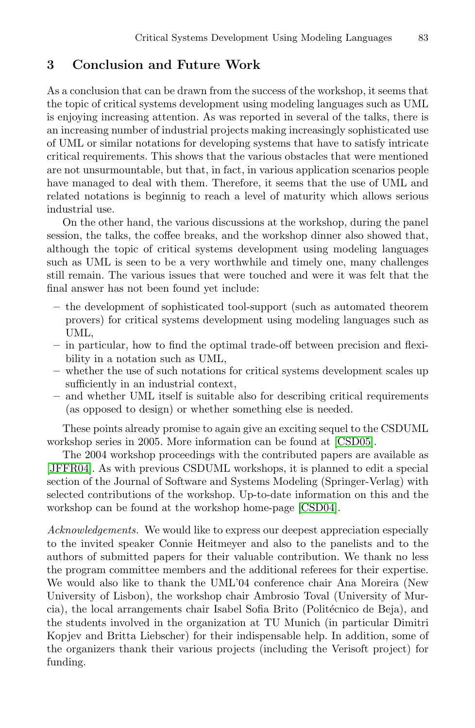# **3 Conclusion and Future Work**

As a conclusion that can be drawn from the success of the workshop, it seems that the topic of critical systems development using modeling languages such as UML is enjoying increasing attention. As was reported in several of the talks, there is an increasing number of industrial projects making increasingly sophisticated use of UML or similar notations for developing systems that have to satisfy intricate critical requirements. This shows that the various obstacles that were mentioned are not unsurmountable, but that, in fact, in various application scenarios people have managed to deal with them. Therefore, it seems that the use of UML and related notations is beginnig to reach a level of maturity which allows serious industrial use.

On the other hand, the various discussions at the workshop, during the panel session, the talks, the coffee breaks, and the workshop dinner also showed that, although the topic of critical systems development using modeling languages such as UML is seen to be a very worthwhile and timely one, many challenges still remain. The various issues that were touched and were it was felt that the final answer has not been found yet include:

- **–** the development of sophisticated tool-support (such as automated theorem provers) for critical systems development using modeling languages such as UML,
- **–** in particular, how to find the optimal trade-off between precision and flexibility in a notation such as UML,
- **–** whether the use of such notations for critical systems development scales up sufficiently in an industrial context,
- **–** and whether UML itself is suitable also for describing critical requirements (as opposed to design) or whether something else is needed.

These points already promise to again give an exciting sequel to the CSDUML workshop series in 2005. More information can be found at [\[CSD05\]](#page-8-0).

The 2004 workshop proceedings with the contributed papers are available as [\[JFFR04\]](#page-8-0). As with previous CSDUML workshops, it is planned to edit a special section of the Journal of Software and Systems Modeling (Springer-Verlag) with selected contributions of the workshop. Up-to-date information on this and the workshop can be found at the workshop home-page [\[CSD04\]](#page-8-0).

*Acknowledgements.* We would like to express our deepest appreciation especially to the invited speaker Connie Heitmeyer and also to the panelists and to the authors of submitted papers for their valuable contribution. We thank no less the program committee members and the additional referees for their expertise. We would also like to thank the UML'04 conference chair Ana Moreira (New University of Lisbon), the workshop chair Ambrosio Toval (University of Murcia), the local arrangements chair Isabel Sofia Brito (Polit´ecnico de Beja), and the students involved in the organization at TU Munich (in particular Dimitri Kopjev and Britta Liebscher) for their indispensable help. In addition, some of the organizers thank their various projects (including the Verisoft project) for funding.